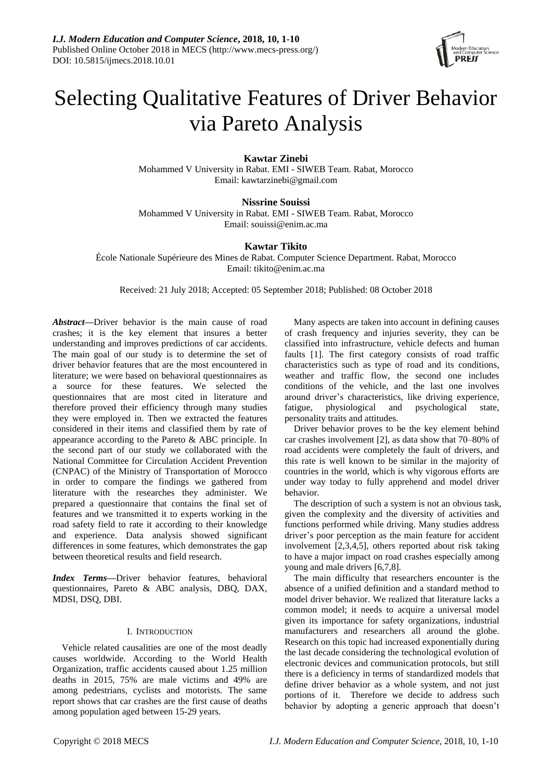

# Selecting Qualitative Features of Driver Behavior via Pareto Analysis

**Kawtar Zinebi**

Mohammed V University in Rabat. EMI - SIWEB Team. Rabat, Morocco Email[: kawtarzinebi@gmail.com](mailto:kawtarzinebi@gmail.com)

**Nissrine Souissi** Mohammed V University in Rabat. EMI - SIWEB Team. Rabat, Morocco Email: [souissi@enim.ac.ma](mailto:souissi@enim.ac.ma)

## **Kawtar Tikito**

École Nationale Supérieure des Mines de Rabat. Computer Science Department. Rabat, Morocco Email: [tikito@enim.ac.ma](mailto:tikito@enim.ac.ma)

Received: 21 July 2018; Accepted: 05 September 2018; Published: 08 October 2018

*Abstract***—**Driver behavior is the main cause of road crashes; it is the key element that insures a better understanding and improves predictions of car accidents. The main goal of our study is to determine the set of driver behavior features that are the most encountered in literature; we were based on behavioral questionnaires as a source for these features. We selected the questionnaires that are most cited in literature and therefore proved their efficiency through many studies they were employed in. Then we extracted the features considered in their items and classified them by rate of appearance according to the Pareto & ABC principle. In the second part of our study we collaborated with the National Committee for Circulation Accident Prevention (CNPAC) of the Ministry of Transportation of Morocco in order to compare the findings we gathered from literature with the researches they administer. We prepared a questionnaire that contains the final set of features and we transmitted it to experts working in the road safety field to rate it according to their knowledge and experience. Data analysis showed significant differences in some features, which demonstrates the gap between theoretical results and field research.

*Index Terms***—**Driver behavior features, behavioral questionnaires, Pareto & ABC analysis, DBQ, DAX, MDSI, DSQ, DBI.

## I. INTRODUCTION

Vehicle related causalities are one of the most deadly causes worldwide. According to the World Health Organization, traffic accidents caused about 1.25 million deaths in 2015, 75% are male victims and 49% are among pedestrians, cyclists and motorists. The same report shows that car crashes are the first cause of deaths among population aged between 15-29 years.

Many aspects are taken into account in defining causes of crash frequency and injuries severity, they can be classified into infrastructure, vehicle defects and human faults [1]. The first category consists of road traffic characteristics such as type of road and its conditions, weather and traffic flow, the second one includes conditions of the vehicle, and the last one involves around driver's characteristics, like driving experience, fatigue, physiological and psychological state, personality traits and attitudes.

Driver behavior proves to be the key element behind car crashes involvement [2], as data show that 70–80% of road accidents were completely the fault of drivers, and this rate is well known to be similar in the majority of countries in the world, which is why vigorous efforts are under way today to fully apprehend and model driver behavior.

The description of such a system is not an obvious task, given the complexity and the diversity of activities and functions performed while driving. Many studies address driver's poor perception as the main feature for accident involvement [2,3,4,5], others reported about risk taking to have a major impact on road crashes especially among young and male drivers [6,7,8].

The main difficulty that researchers encounter is the absence of a unified definition and a standard method to model driver behavior. We realized that literature lacks a common model; it needs to acquire a universal model given its importance for safety organizations, industrial manufacturers and researchers all around the globe. Research on this topic had increased exponentially during the last decade considering the technological evolution of electronic devices and communication protocols, but still there is a deficiency in terms of standardized models that define driver behavior as a whole system, and not just portions of it. Therefore we decide to address such behavior by adopting a generic approach that doesn't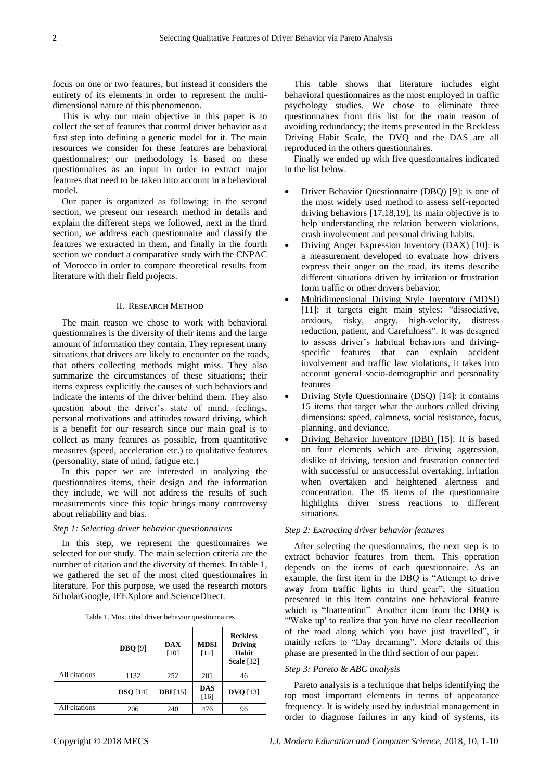focus on one or two features, but instead it considers the entirety of its elements in order to represent the multidimensional nature of this phenomenon.

This is why our main objective in this paper is to collect the set of features that control driver behavior as a first step into defining a generic model for it. The main resources we consider for these features are behavioral questionnaires; our methodology is based on these questionnaires as an input in order to extract major features that need to be taken into account in a behavioral model.

Our paper is organized as following; in the second section, we present our research method in details and explain the different steps we followed, next in the third section, we address each questionnaire and classify the features we extracted in them, and finally in the fourth section we conduct a comparative study with the CNPAC of Morocco in order to compare theoretical results from literature with their field projects.

#### II. RESEARCH METHOD

The main reason we chose to work with behavioral questionnaires is the diversity of their items and the large amount of information they contain. They represent many situations that drivers are likely to encounter on the roads, that others collecting methods might miss. They also summarize the circumstances of these situations; their items express explicitly the causes of such behaviors and indicate the intents of the driver behind them. They also question about the driver's state of mind, feelings, personal motivations and attitudes toward driving, which is a benefit for our research since our main goal is to collect as many features as possible, from quantitative measures (speed, acceleration etc.) to qualitative features (personality, state of mind, fatigue etc.)

In this paper we are interested in analyzing the questionnaires items, their design and the information they include, we will not address the results of such measurements since this topic brings many controversy about reliability and bias.

#### *Step 1: Selecting driver behavior questionnaires*

In this step, we represent the questionnaires we selected for our study. The main selection criteria are the number of citation and the diversity of themes. In table 1, we gathered the set of the most cited questionnaires in literature. For this purpose, we used the research motors ScholarGoogle, IEEXplore and ScienceDirect.

|  |  |  |  | Table 1. Most cited driver behavior questionnaires |  |  |
|--|--|--|--|----------------------------------------------------|--|--|
|--|--|--|--|----------------------------------------------------|--|--|

|               | <b>DBQ</b> [9] | DAX<br>[10]     | <b>MDSI</b><br>[11] | <b>Reckless</b><br><b>Driving</b><br>Habit<br><b>Scale</b> [12] |
|---------------|----------------|-----------------|---------------------|-----------------------------------------------------------------|
| All citations | 1132           | 252             | 201                 | 46                                                              |
|               | $DSQ$ [14]     | <b>DBI</b> [15] | DAS<br>$[16]$       | $DVQ$ [13]                                                      |
| All citations | 206            | 240             | 476                 | 96                                                              |

This table shows that literature includes eight behavioral questionnaires as the most employed in traffic psychology studies. We chose to eliminate three questionnaires from this list for the main reason of avoiding redundancy; the items presented in the Reckless Driving Habit Scale, the DVQ and the DAS are all reproduced in the others questionnaires.

Finally we ended up with five questionnaires indicated in the list below.

- Driver Behavior Questionnaire (DBQ) [9]: is one of the most widely used method to assess self-reported driving behaviors [17,18,19], its main objective is to help understanding the relation between violations, crash involvement and personal driving habits.
- Driving Anger Expression Inventory (DAX) [10]: is a measurement developed to evaluate how drivers express their anger on the road, its items describe different situations driven by irritation or frustration form traffic or other drivers behavior.
- Multidimensional Driving Style Inventory (MDSI) [11]: it targets eight main styles: "dissociative, anxious, risky, angry, high-velocity, distress reduction, patient, and Carefulness". It was designed to assess driver's habitual behaviors and drivingspecific features that can explain accident involvement and traffic law violations, it takes into account general socio-demographic and personality features
- Driving Style Questionnaire (DSQ) [14]: it contains 15 items that target what the authors called driving dimensions: speed, calmness, social resistance, focus, planning, and deviance.
- Driving Behavior Inventory (DBI) [15]: It is based on four elements which are driving aggression, dislike of driving, tension and frustration connected with successful or unsuccessful overtaking, irritation when overtaken and heightened alertness and concentration. The 35 items of the questionnaire highlights driver stress reactions to different situations.

#### *Step 2: Extracting driver behavior features*

After selecting the questionnaires, the next step is to extract behavior features from them. This operation depends on the items of each questionnaire. As an example, the first item in the DBQ is "Attempt to drive away from traffic lights in third gear"; the situation presented in this item contains one behavioral feature which is "Inattention". Another item from the DBQ is "'Wake up' to realize that you have no clear recollection of the road along which you have just travelled", it mainly refers to "Day dreaming". More details of this phase are presented in the third section of our paper.

#### *Step 3: Pareto & ABC analysis*

Pareto analysis is a technique that helps identifying the top most important elements in terms of appearance frequency. It is widely used by industrial management in order to diagnose failures in any kind of systems, its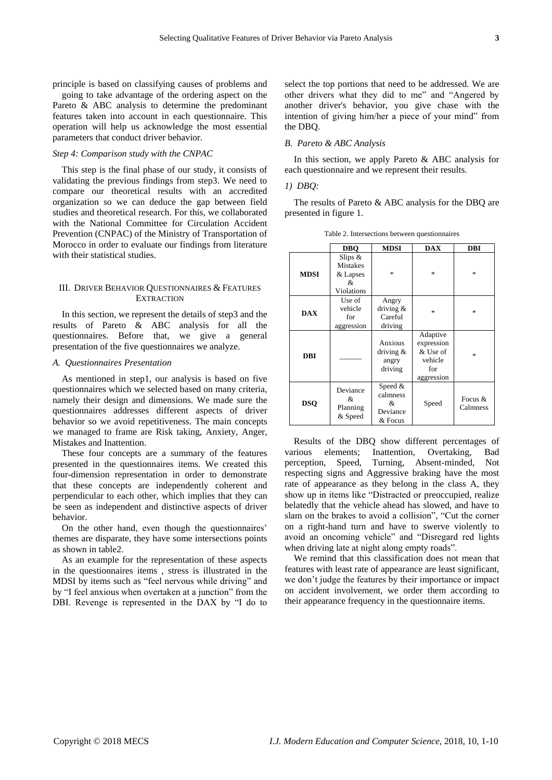principle is based on classifying causes of problems and select the top portions that need to be addressed. We are

going to take advantage of the ordering aspect on the Pareto & ABC analysis to determine the predominant features taken into account in each questionnaire. This operation will help us acknowledge the most essential parameters that conduct driver behavior.

#### *Step 4: Comparison study with the CNPAC*

This step is the final phase of our study, it consists of validating the previous findings from step3. We need to compare our theoretical results with an accredited organization so we can deduce the gap between field studies and theoretical research. For this, we collaborated with the National Committee for Circulation Accident Prevention (CNPAC) of the Ministry of Transportation of Morocco in order to evaluate our findings from literature with their statistical studies.

## III. DRIVER BEHAVIOR QUESTIONNAIRES & FEATURES **EXTRACTION**

In this section, we represent the details of step3 and the results of Pareto & ABC analysis for all the questionnaires. Before that, we give a general presentation of the five questionnaires we analyze.

### *A. Questionnaires Presentation*

As mentioned in step1, our analysis is based on five questionnaires which we selected based on many criteria, namely their design and dimensions. We made sure the questionnaires addresses different aspects of driver behavior so we avoid repetitiveness. The main concepts we managed to frame are Risk taking, Anxiety, Anger, Mistakes and Inattention.

These four concepts are a summary of the features presented in the questionnaires items. We created this four-dimension representation in order to demonstrate that these concepts are independently coherent and perpendicular to each other, which implies that they can be seen as independent and distinctive aspects of driver behavior.

On the other hand, even though the questionnaires' themes are disparate, they have some intersections points as shown in table2.

As an example for the representation of these aspects in the questionnaires items , stress is illustrated in the MDSI by items such as "feel nervous while driving" and by "I feel anxious when overtaken at a junction" from the DBI. Revenge is represented in the DAX by "I do to other drivers what they did to me" and "Angered by another driver's behavior, you give chase with the intention of giving him/her a piece of your mind" from the DBQ.

## *B. Pareto & ABC Analysis*

In this section, we apply Pareto & ABC analysis for each questionnaire and we represent their results.

## *1) DBQ:*

The results of Pareto & ABC analysis for the DBQ are presented in figure 1.

Table 2. Intersections between questionnaires

|             | <b>DBO</b>                                                  | <b>MDSI</b>                                     | <b>DAX</b>                                                         | <b>DBI</b>            |
|-------------|-------------------------------------------------------------|-------------------------------------------------|--------------------------------------------------------------------|-----------------------|
| <b>MDSI</b> | Slips $&$<br><b>Mistakes</b><br>& Lapses<br>&<br>Violations | $\ast$                                          | 家                                                                  | $\frac{1}{2}$         |
| <b>DAX</b>  | Use of<br>vehicle<br>for<br>aggression                      | Angry<br>driving $&$<br>Careful<br>driving      | 永                                                                  | $\frac{1}{2}$         |
| DBI         |                                                             | Anxious<br>driving $&$<br>angry<br>driving      | Adaptive<br>expression<br>& Use of<br>vehicle<br>for<br>aggression | $\frac{1}{2}$         |
| <b>DSO</b>  | Deviance<br>&<br>Planning<br>& Speed                        | Speed &<br>calmness<br>&<br>Deviance<br>& Focus | Speed                                                              | Focus $&$<br>Calmness |

Results of the DBQ show different percentages of various elements; Inattention, Overtaking, Bad perception, Speed, Turning, Absent-minded, Not respecting signs and Aggressive braking have the most rate of appearance as they belong in the class A, they show up in items like "Distracted or preoccupied, realize belatedly that the vehicle ahead has slowed, and have to slam on the brakes to avoid a collision", "Cut the corner on a right-hand turn and have to swerve violently to avoid an oncoming vehicle" and "Disregard red lights when driving late at night along empty roads".

We remind that this classification does not mean that features with least rate of appearance are least significant, we don't judge the features by their importance or impact on accident involvement, we order them according to their appearance frequency in the questionnaire items.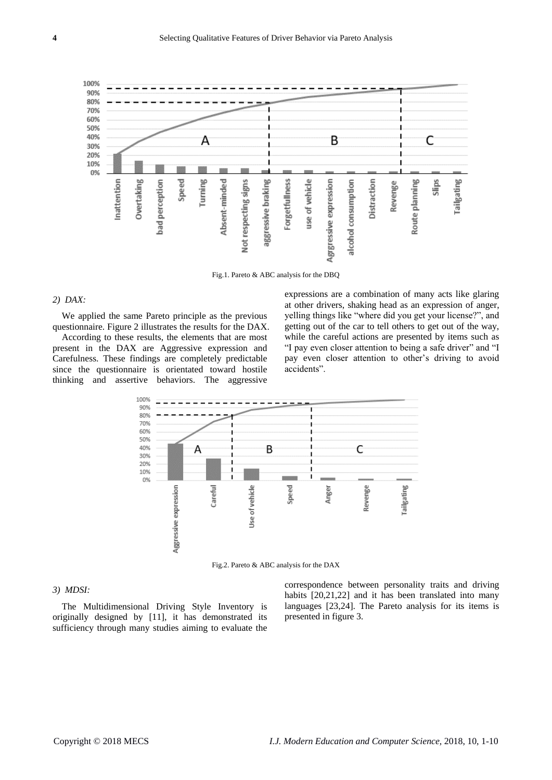

Fig.1. Pareto & ABC analysis for the DBQ

## *2) DAX:*

We applied the same Pareto principle as the previous questionnaire. Figure 2 illustrates the results for the DAX.

According to these results, the elements that are most present in the DAX are Aggressive expression and Carefulness. These findings are completely predictable since the questionnaire is orientated toward hostile thinking and assertive behaviors. The aggressive

expressions are a combination of many acts like glaring at other drivers, shaking head as an expression of anger, yelling things like "where did you get your license?", and getting out of the car to tell others to get out of the way, while the careful actions are presented by items such as "I pay even closer attention to being a safe driver" and "I pay even closer attention to other's driving to avoid accidents".



Fig.2. Pareto & ABC analysis for the DAX

## *3) MDSI:*

The Multidimensional Driving Style Inventory is originally designed by [11], it has demonstrated its sufficiency through many studies aiming to evaluate the correspondence between personality traits and driving habits [20,21,22] and it has been translated into many languages [23,24]. The Pareto analysis for its items is presented in figure 3.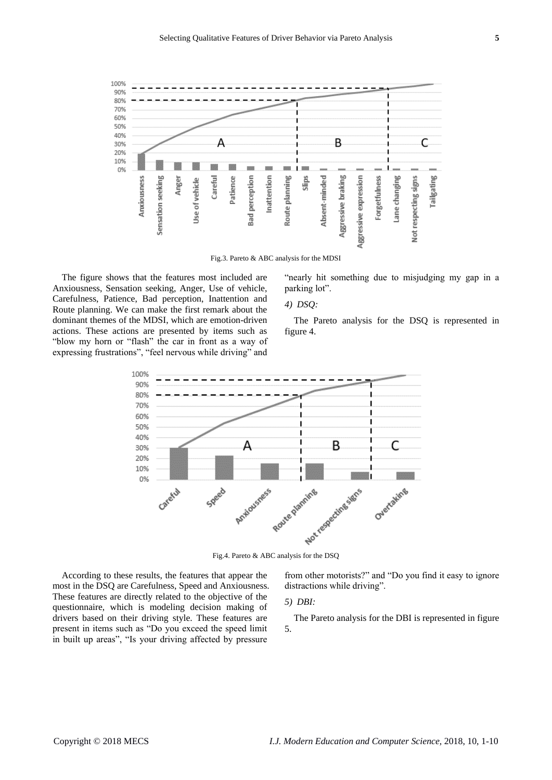

Fig.3. Pareto & ABC analysis for the MDSI

The figure shows that the features most included are Anxiousness, Sensation seeking, Anger, Use of vehicle, Carefulness, Patience, Bad perception, Inattention and Route planning. We can make the first remark about the dominant themes of the MDSI, which are emotion-driven actions. These actions are presented by items such as "blow my horn or "flash" the car in front as a way of expressing frustrations", "feel nervous while driving" and

"nearly hit something due to misjudging my gap in a parking lot".

## *4) DSQ:*

The Pareto analysis for the DSQ is represented in figure 4.



According to these results, the features that appear the most in the DSQ are Carefulness, Speed and Anxiousness. These features are directly related to the objective of the questionnaire, which is modeling decision making of drivers based on their driving style. These features are present in items such as "Do you exceed the speed limit in built up areas", "Is your driving affected by pressure

from other motorists?" and "Do you find it easy to ignore distractions while driving".

## *5) DBI:*

The Pareto analysis for the DBI is represented in figure 5.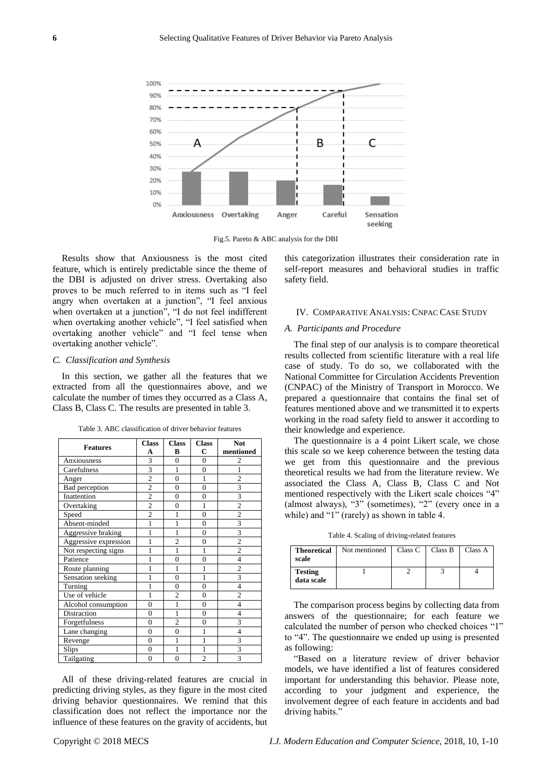

Fig.5. Pareto & ABC analysis for the DBI

Results show that Anxiousness is the most cited feature, which is entirely predictable since the theme of the DBI is adjusted on driver stress. Overtaking also proves to be much referred to in items such as "I feel angry when overtaken at a junction", "I feel anxious when overtaken at a junction", "I do not feel indifferent when overtaking another vehicle", "I feel satisfied when overtaking another vehicle" and "I feel tense when overtaking another vehicle".

#### *C. Classification and Synthesis*

In this section, we gather all the features that we extracted from all the questionnaires above, and we calculate the number of times they occurred as a Class A, Class B, Class C. The results are presented in table 3.

| <b>Features</b>       | <b>Class</b>   | <b>Class</b>   |                | Not            |  |
|-----------------------|----------------|----------------|----------------|----------------|--|
|                       | A              | B              | C              | mentioned      |  |
| Anxiousness           | 3              | $\theta$       | $\overline{0}$ |                |  |
| Carefulness           | 3              | 1              | $\overline{0}$ | 1              |  |
| Anger                 | $\overline{c}$ | $\overline{0}$ | 1              | $\overline{c}$ |  |
| Bad perception        | $\overline{2}$ | $\overline{0}$ | $\overline{0}$ | 3              |  |
| Inattention           | $\overline{c}$ | $\overline{0}$ | $\overline{0}$ | 3              |  |
| Overtaking            | $\overline{2}$ | $\overline{0}$ | 1              | $\overline{2}$ |  |
| Speed                 | $\overline{2}$ | 1              | $\overline{0}$ | $\overline{2}$ |  |
| Absent-minded         | 1              | 1              | $\overline{0}$ | 3              |  |
| Aggressive braking    | 1              | 1              | $\overline{0}$ | 3              |  |
| Aggressive expression | 1              | $\overline{2}$ | $\overline{0}$ | $\overline{2}$ |  |
| Not respecting signs  | 1              | 1              | 1              | $\overline{c}$ |  |
| Patience              | 1              | $\overline{0}$ | $\overline{0}$ | $\overline{4}$ |  |
| Route planning        | 1              | 1              | 1              | $\overline{c}$ |  |
| Sensation seeking     | 1              | $\overline{0}$ | 1              | 3              |  |
| Turning               | 1              | $\overline{0}$ | $\overline{0}$ | $\overline{4}$ |  |
| Use of vehicle        | 1              | $\overline{2}$ | $\Omega$       | $\overline{c}$ |  |
| Alcohol consumption   | $\overline{0}$ | 1              | $\overline{0}$ | $\overline{4}$ |  |
| Distraction           | $\overline{0}$ | 1              | $\overline{0}$ | $\overline{4}$ |  |
| Forgetfulness         | $\overline{0}$ | $\overline{2}$ | $\overline{0}$ | 3              |  |
| Lane changing         | $\overline{0}$ | $\overline{0}$ | 1              | $\overline{4}$ |  |
| Revenge               | $\overline{0}$ | 1              | $\overline{1}$ | 3              |  |
| Slips                 | $\overline{0}$ | 1              | $\overline{1}$ | 3              |  |
| Tailgating            | $\overline{0}$ | $\overline{0}$ | $\overline{c}$ | 3              |  |

Table 3. ABC classification of driver behavior features

All of these driving-related features are crucial in predicting driving styles, as they figure in the most cited driving behavior questionnaires. We remind that this classification does not reflect the importance nor the influence of these features on the gravity of accidents, but

this categorization illustrates their consideration rate in self-report measures and behavioral studies in traffic safety field.

#### IV. COMPARATIVE ANALYSIS: CNPAC CASE STUDY

#### *A. Participants and Procedure*

The final step of our analysis is to compare theoretical results collected from scientific literature with a real life case of study. To do so, we collaborated with the National Committee for Circulation Accidents Prevention (CNPAC) of the Ministry of Transport in Morocco. We prepared a questionnaire that contains the final set of features mentioned above and we transmitted it to experts working in the road safety field to answer it according to their knowledge and experience.

The questionnaire is a 4 point Likert scale, we chose this scale so we keep coherence between the testing data we get from this questionnaire and the previous theoretical results we had from the literature review. We associated the Class A, Class B, Class C and Not mentioned respectively with the Likert scale choices "4" (almost always), "3" (sometimes), "2" (every once in a while) and "1" (rarely) as shown in table 4.

Table 4. Scaling of driving-related features

| <b>Theoretical</b><br>scale  | Not mentioned | Class C | Class B | Class A |
|------------------------------|---------------|---------|---------|---------|
| <b>Testing</b><br>data scale |               |         |         |         |

The comparison process begins by collecting data from answers of the questionnaire; for each feature we calculated the number of person who checked choices "1" to "4". The questionnaire we ended up using is presented as following:

"Based on a literature review of driver behavior models, we have identified a list of features considered important for understanding this behavior. Please note, according to your judgment and experience, the involvement degree of each feature in accidents and bad driving habits."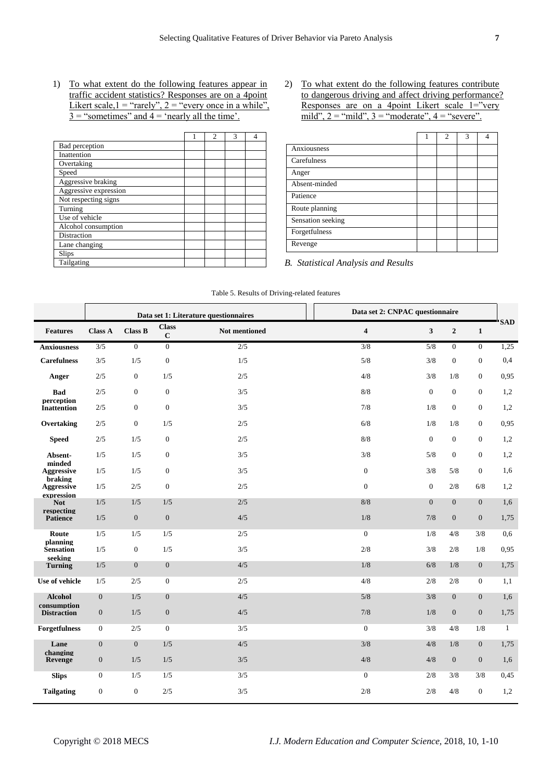1) To what extent do the following features appear in traffic accident statistics? Responses are on a 4point Likert scale,  $1 =$  "rarely",  $2 =$  "every once in a while".  $3 =$  "sometimes" and  $4 =$  'nearly all the time'.

|                       | 2 | $\mathbf{3}$ |  |
|-----------------------|---|--------------|--|
| Bad perception        |   |              |  |
| Inattention           |   |              |  |
| Overtaking            |   |              |  |
| Speed                 |   |              |  |
| Aggressive braking    |   |              |  |
| Aggressive expression |   |              |  |
| Not respecting signs  |   |              |  |
| Turning               |   |              |  |
| Use of vehicle        |   |              |  |
| Alcohol consumption   |   |              |  |
| Distraction           |   |              |  |
| Lane changing         |   |              |  |
| Slips                 |   |              |  |
| Tailgating            |   |              |  |

2) To what extent do the following features contribute to dangerous driving and affect driving performance? Responses are on a 4point Likert scale 1="very mild",  $2 =$  "mild",  $3 =$  "moderate",  $4 =$  "severe".

|                   | $\mathfrak{D}$ | 3 |  |
|-------------------|----------------|---|--|
| Anxiousness       |                |   |  |
| Carefulness       |                |   |  |
| Anger             |                |   |  |
| Absent-minded     |                |   |  |
| Patience          |                |   |  |
| Route planning    |                |   |  |
| Sensation seeking |                |   |  |
| Forgetfulness     |                |   |  |
| Revenge           |                |   |  |

*B. Statistical Analysis and Results*

Table 5. Results of Driving-related features

|                                   |                  | Data set 1: Literature questionnaires |                         | Data set 2: CNPAC questionnaire |                         |                  |                  |                  |              |
|-----------------------------------|------------------|---------------------------------------|-------------------------|---------------------------------|-------------------------|------------------|------------------|------------------|--------------|
| <b>Features</b>                   | <b>Class A</b>   | <b>Class B</b>                        | <b>Class</b><br>$\bf C$ | <b>Not mentioned</b>            | $\overline{\mathbf{4}}$ | $\mathbf{3}$     | $\overline{2}$   | $\mathbf{1}$     | <b>SAD</b>   |
| <b>Anxiousness</b>                | $\overline{3/5}$ | $\overline{0}$                        | $\mathbf{0}$            | $\overline{2/5}$                | $\overline{3/8}$        | $\overline{5/8}$ | $\overline{0}$   | $\overline{0}$   | 1,25         |
| <b>Carefulness</b>                | 3/5              | 1/5                                   | $\boldsymbol{0}$        | 1/5                             | $5/8$                   | 3/8              | $\boldsymbol{0}$ | $\boldsymbol{0}$ | 0,4          |
| Anger                             | 2/5              | $\mathbf{0}$                          | 1/5                     | 2/5                             | 4/8                     | 3/8              | 1/8              | $\boldsymbol{0}$ | 0,95         |
| <b>Bad</b>                        | 2/5              | $\mathbf{0}$                          | $\boldsymbol{0}$        | 3/5                             | 8/8                     | $\overline{0}$   | $\mathbf{0}$     | $\overline{0}$   | 1,2          |
| perception<br><b>Inattention</b>  | 2/5              | $\mathbf{0}$                          | $\boldsymbol{0}$        | 3/5                             | 7/8                     | 1/8              | $\boldsymbol{0}$ | $\overline{0}$   | 1,2          |
| Overtaking                        | 2/5              | $\mathbf{0}$                          | 1/5                     | 2/5                             | 6/8                     | 1/8              | 1/8              | $\overline{0}$   | 0,95         |
| <b>Speed</b>                      | 2/5              | 1/5                                   | $\boldsymbol{0}$        | 2/5                             | 8/8                     | $\overline{0}$   | $\mathbf{0}$     | $\overline{0}$   | 1,2          |
| Absent-                           | 1/5              | 1/5                                   | $\boldsymbol{0}$        | 3/5                             | 3/8                     | 5/8              | $\boldsymbol{0}$ | $\overline{0}$   | 1,2          |
| minded<br><b>Aggressive</b>       | 1/5              | 1/5                                   | $\boldsymbol{0}$        | 3/5                             | $\boldsymbol{0}$        | 3/8              | 5/8              | $\overline{0}$   | 1,6          |
| braking<br><b>Aggressive</b>      | 1/5              | 2/5                                   | $\boldsymbol{0}$        | 2/5                             | $\mathbf{0}$            | $\mathbf{0}$     | 2/8              | 6/8              | 1,2          |
| expression<br><b>Not</b>          | 1/5              | 1/5                                   | 1/5                     | 2/5                             | 8/8                     | $\overline{0}$   | $\overline{0}$   | $\overline{0}$   | 1,6          |
| respecting<br><b>Patience</b>     | 1/5              | $\mathbf{0}$                          | $\boldsymbol{0}$        | 4/5                             | 1/8                     | 7/8              | $\mathbf{0}$     | $\mathbf{0}$     | 1,75         |
| Route                             | 1/5              | 1/5                                   | 1/5                     | 2/5                             | $\mathbf{0}$            | 1/8              | 4/8              | 3/8              | 0,6          |
| planning<br><b>Sensation</b>      | 1/5              | $\mathbf{0}$                          | 1/5                     | 3/5                             | 2/8                     | 3/8              | 2/8              | 1/8              | 0,95         |
| seeking<br><b>Turning</b>         | 1/5              | $\mathbf{0}$                          | $\boldsymbol{0}$        | 4/5                             | 1/8                     | 6/8              | 1/8              | $\mathbf{0}$     | 1,75         |
| Use of vehicle                    | 1/5              | 2/5                                   | $\boldsymbol{0}$        | 2/5                             | 4/8                     | 2/8              | 2/8              | 0                | 1,1          |
| <b>Alcohol</b>                    | $\mathbf{0}$     | 1/5                                   | $\boldsymbol{0}$        | 4/5                             | 5/8                     | 3/8              | $\overline{0}$   | $\overline{0}$   | 1,6          |
| consumption<br><b>Distraction</b> | $\mathbf{0}$     | $1/5$                                 | $\boldsymbol{0}$        | 4/5                             | $7/8$                   | 1/8              | $\mathbf{0}$     | $\mathbf{0}$     | 1,75         |
| <b>Forgetfulness</b>              | $\boldsymbol{0}$ | $2/5$                                 | $\boldsymbol{0}$        | 3/5                             | $\mathbf{0}$            | 3/8              | 4/8              | 1/8              | $\mathbf{1}$ |
| Lane                              | $\boldsymbol{0}$ | $\boldsymbol{0}$                      | 1/5                     | $4/5$                           | $3/8$                   | 4/8              | 1/8              | $\overline{0}$   | 1,75         |
| changing<br>Revenge               | $\mathbf{0}$     | $1/5$                                 | 1/5                     | 3/5                             | 4/8                     | 4/8              | $\boldsymbol{0}$ | $\boldsymbol{0}$ | 1,6          |
| <b>Slips</b>                      | $\boldsymbol{0}$ | 1/5                                   | 1/5                     | 3/5                             | $\boldsymbol{0}$        | 2/8              | 3/8              | 3/8              | 0.45         |
| <b>Tailgating</b>                 | $\mathbf{0}$     | $\mathbf{0}$                          | 2/5                     | 3/5                             | 2/8                     | 2/8              | 4/8              | $\overline{0}$   | 1,2          |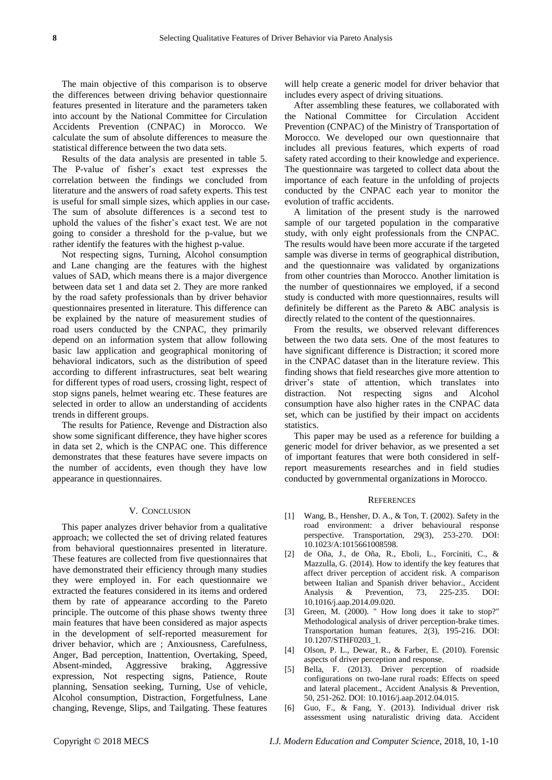The main objective of this comparison is to observe the differences between driving behavior questionnaire features presented in literature and the parameters taken into account by the National Committee for Circulation Accidents Prevention (CNPAC) in Morocco. We calculate the sum of absolute differences to measure the statistical difference between the two data sets.

Results of the data analysis are presented in table 5. The P-value of fisher's exact test expresses the correlation between the findings we concluded from literature and the answers of road safety experts. This test is useful for small simple sizes, which applies in our case. The sum of absolute differences is a second test to uphold the values of the fisher's exact test. We are not going to consider a threshold for the p-value, but we rather identify the features with the highest p-value.

Not respecting signs, Turning, Alcohol consumption and Lane changing are the features with the highest values of SAD, which means there is a major divergence between data set 1 and data set 2. They are more ranked by the road safety professionals than by driver behavior questionnaires presented in literature. This difference can be explained by the nature of measurement studies of road users conducted by the CNPAC, they primarily depend on an information system that allow following basic law application and geographical monitoring of behavioral indicators, such as the distribution of speed according to different infrastructures, seat belt wearing for different types of road users, crossing light, respect of stop signs panels, helmet wearing etc. These features are selected in order to allow an understanding of accidents trends in different groups.

The results for Patience, Revenge and Distraction also show some significant difference, they have higher scores in data set 2, which is the CNPAC one. This difference demonstrates that these features have severe impacts on the number of accidents, even though they have low appearance in questionnaires.

#### V. CONCLUSION

This paper analyzes driver behavior from a qualitative approach; we collected the set of driving related features from behavioral questionnaires presented in literature. These features are collected from five questionnaires that have demonstrated their efficiency through many studies they were employed in. For each questionnaire we extracted the features considered in its items and ordered them by rate of appearance according to the Pareto principle. The outcome of this phase shows twenty three main features that have been considered as major aspects in the development of self-reported measurement for driver behavior, which are ; Anxiousness, Carefulness, Anger, Bad perception, Inattention, Overtaking, Speed, Absent-minded, Aggressive braking, Aggressive expression, Not respecting signs, Patience, Route planning, Sensation seeking, Turning, Use of vehicle, Alcohol consumption, Distraction, Forgetfulness, Lane changing, Revenge, Slips, and Tailgating. These features

will help create a generic model for driver behavior that includes every aspect of driving situations.

After assembling these features, we collaborated with the National Committee for Circulation Accident Prevention (CNPAC) of the Ministry of Transportation of Morocco. We developed our own questionnaire that includes all previous features, which experts of road safety rated according to their knowledge and experience. The questionnaire was targeted to collect data about the importance of each feature in the unfolding of projects conducted by the CNPAC each year to monitor the evolution of traffic accidents.

A limitation of the present study is the narrowed sample of our targeted population in the comparative study, with only eight professionals from the CNPAC. The results would have been more accurate if the targeted sample was diverse in terms of geographical distribution, and the questionnaire was validated by organizations from other countries than Morocco. Another limitation is the number of questionnaires we employed, if a second study is conducted with more questionnaires, results will definitely be different as the Pareto & ABC analysis is directly related to the content of the questionnaires.

From the results, we observed relevant differences between the two data sets. One of the most features to have significant difference is Distraction; it scored more in the CNPAC dataset than in the literature review. This finding shows that field researches give more attention to driver's state of attention, which translates into distraction. Not respecting signs and Alcohol consumption have also higher rates in the CNPAC data set, which can be justified by their impact on accidents statistics.

This paper may be used as a reference for building a generic model for driver behavior, as we presented a set of important features that were both considered in selfreport measurements researches and in field studies conducted by governmental organizations in Morocco.

#### **REFERENCES**

- [1] Wang, B., Hensher, D. A., & Ton, T. (2002). Safety in the road environment: a driver behavioural response perspective. Transportation, 29(3), 253-270. DOI: 10.1023/A:1015661008598.
- [2] de Oña, J., de Oña, R., Eboli, L., Forciniti, C., & Mazzulla, G. (2014). How to identify the key features that affect driver perception of accident risk. A comparison between Italian and Spanish driver behavior., Accident Analysis & Prevention, 73, 225-235. DOI: 10.1016/j.aap.2014.09.020.
- [3] Green, M. (2000). " How long does it take to stop?" Methodological analysis of driver perception-brake times. Transportation human features, 2(3), 195-216. DOI: 10.1207/STHF0203\_1.
- [4] Olson, P. L., Dewar, R., & Farber, E. (2010). Forensic aspects of driver perception and response.
- [5] Bella, F. (2013). Driver perception of roadside configurations on two-lane rural roads: Effects on speed and lateral placement., Accident Analysis & Prevention, 50, 251-262. DOI: 10.1016/j.aap.2012.04.015.
- [6] Guo, F., & Fang, Y. (2013). Individual driver risk assessment using naturalistic driving data. Accident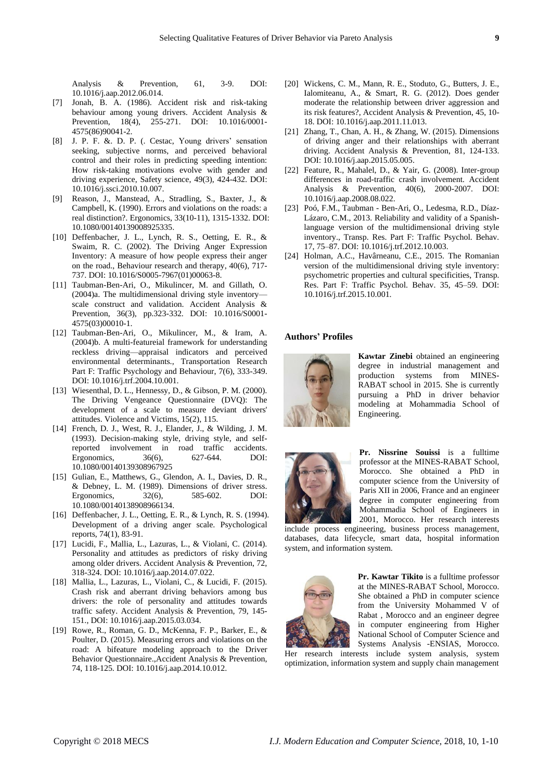Analysis & Prevention, 61, 3-9. DOI: 10.1016/j.aap.2012.06.014.

- [7] Jonah, B. A. (1986). Accident risk and risk-taking behaviour among young drivers. Accident Analysis & Prevention, 18(4), 255-271. DOI: 10.1016/0001- 4575(86)90041-2.
- [8] J. P. F. &. D. P. (. Cestac, Young drivers' sensation seeking, subjective norms, and perceived behavioral control and their roles in predicting speeding intention: How risk-taking motivations evolve with gender and driving experience, Safety science, 49(3), 424-432. DOI: 10.1016/j.ssci.2010.10.007.
- [9] Reason, J., Manstead, A., Stradling, S., Baxter, J., & Campbell, K. (1990). Errors and violations on the roads: a real distinction?. Ergonomics, 33(10-11), 1315-1332. DOI: 10.1080/00140139008925335.
- [10] Deffenbacher, J. L., Lynch, R. S., Oetting, E. R., & Swaim, R. C. (2002). The Driving Anger Expression Inventory: A measure of how people express their anger on the road., Behaviour research and therapy, 40(6), 717- 737. DOI: 10.1016/S0005-7967(01)00063-8.
- [11] Taubman-Ben-Ari, O., Mikulincer, M. and Gillath, O. (2004)a. The multidimensional driving style inventory scale construct and validation. Accident Analysis & Prevention, 36(3), pp.323-332. DOI: 10.1016/S0001- 4575(03)00010-1.
- [12] Taubman-Ben-Ari, O., Mikulincer, M., & Iram, A. (2004)b. A multi-featureial framework for understanding reckless driving—appraisal indicators and perceived environmental determinants., Transportation Research Part F: Traffic Psychology and Behaviour, 7(6), 333-349. DOI: 10.1016/j.trf.2004.10.001.
- [13] Wiesenthal, D. L., Hennessy, D., & Gibson, P. M. (2000). The Driving Vengeance Questionnaire (DVQ): The development of a scale to measure deviant drivers' attitudes. Violence and Victims, 15(2), 115.
- [14] French, D. J., West, R. J., Elander, J., & Wilding, J. M. (1993). Decision-making style, driving style, and selfreported involvement in road traffic accidents. Ergonomics, 36(6), 627-644. DOI: 10.1080/00140139308967925
- [15] Gulian, E., Matthews, G., Glendon, A. I., Davies, D. R., & Debney, L. M. (1989). Dimensions of driver stress. Ergonomics, 32(6), 585-602. DOI: 10.1080/00140138908966134.
- [16] Deffenbacher, J. L., Oetting, E. R., & Lynch, R. S. (1994). Development of a driving anger scale. Psychological reports, 74(1), 83-91.
- [17] Lucidi, F., Mallia, L., Lazuras, L., & Violani, C. (2014). Personality and attitudes as predictors of risky driving among older drivers. Accident Analysis & Prevention, 72, 318-324. DOI: 10.1016/j.aap.2014.07.022.
- [18] Mallia, L., Lazuras, L., Violani, C., & Lucidi, F. (2015). Crash risk and aberrant driving behaviors among bus drivers: the role of personality and attitudes towards traffic safety. Accident Analysis & Prevention, 79, 145- 151., DOI: 10.1016/j.aap.2015.03.034.
- [19] Rowe, R., Roman, G. D., McKenna, F. P., Barker, E., & Poulter, D. (2015). Measuring errors and violations on the road: A bifeature modeling approach to the Driver Behavior Questionnaire.,Accident Analysis & Prevention, 74, 118-125. DOI: 10.1016/j.aap.2014.10.012.
- [20] Wickens, C. M., Mann, R. E., Stoduto, G., Butters, J. E., Ialomiteanu, A., & Smart, R. G. (2012). Does gender moderate the relationship between driver aggression and its risk features?, Accident Analysis & Prevention, 45, 10- 18. DOI: 10.1016/j.aap.2011.11.013.
- [21] Zhang, T., Chan, A. H., & Zhang, W. (2015). Dimensions of driving anger and their relationships with aberrant driving. Accident Analysis & Prevention, 81, 124-133. DOI: 10.1016/j.aap.2015.05.005.
- [22] Feature, R., Mahalel, D., & Yair, G. (2008). Inter-group differences in road-traffic crash involvement. Accident Analysis & Prevention, 40(6), 2000-2007. DOI: 10.1016/j.aap.2008.08.022.
- [23] Poó, F.M., Taubman Ben-Ari, O., Ledesma, R.D., Díaz-Lázaro, C.M., 2013. Reliability and validity of a Spanishlanguage version of the multidimensional driving style inventory., Transp. Res. Part F: Traffic Psychol. Behav. 17, 75–87. DOI: 10.1016/j.trf.2012.10.003.
- [24] Holman, A.C., Havârneanu, C.E., 2015. The Romanian version of the multidimensional driving style inventory: psychometric properties and cultural specificities, Transp. Res. Part F: Traffic Psychol. Behav. 35, 45–59. DOI: 10.1016/j.trf.2015.10.001.

#### **Authors' Profiles**



**Kawtar Zinebi** obtained an engineering degree in industrial management and production systems from MINES-RABAT school in 2015. She is currently pursuing a PhD in driver behavior modeling at Mohammadia School of Engineering.



**Pr. Nissrine Souissi** is a fulltime professor at the MINES-RABAT School, Morocco. She obtained a PhD in computer science from the University of Paris XII in 2006, France and an engineer degree in computer engineering from Mohammadia School of Engineers in 2001, Morocco. Her research interests

include process engineering, business process management, databases, data lifecycle, smart data, hospital information system, and information system.



**Pr. Kawtar Tikito** is a fulltime professor at the MINES-RABAT School, Morocco. She obtained a PhD in computer science from the University Mohammed V of Rabat , Morocco and an engineer degree in computer engineering from Higher National School of Computer Science and Systems Analysis -ENSIAS, Morocco. Her research interests include system analysis, system

optimization, information system and supply chain management